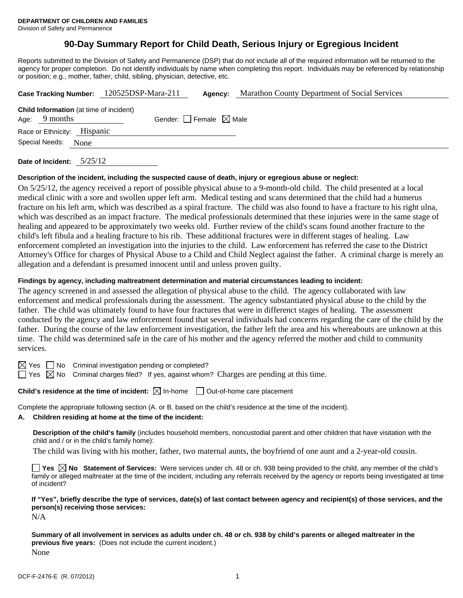# **90-Day Summary Report for Child Death, Serious Injury or Egregious Incident**

Reports submitted to the Division of Safety and Permanence (DSP) that do not include all of the required information will be returned to the agency for proper completion. Do not identify individuals by name when completing this report. Individuals may be referenced by relationship or position; e.g., mother, father, child, sibling, physician, detective, etc.

|                                                                   | Case Tracking Number: 120525DSP-Mara-211 | Agency:                         | <b>Marathon County Department of Social Services</b> |
|-------------------------------------------------------------------|------------------------------------------|---------------------------------|------------------------------------------------------|
| <b>Child Information</b> (at time of incident)<br>Age: $9$ months |                                          | Gender: Female $\boxtimes$ Male |                                                      |
| Race or Ethnicity: Hispanic                                       |                                          |                                 |                                                      |
| Special Needs: None                                               |                                          |                                 |                                                      |
|                                                                   |                                          |                                 |                                                      |

**Date of Incident:** 5/25/12

#### **Description of the incident, including the suspected cause of death, injury or egregious abuse or neglect:**

On 5/25/12, the agency received a report of possible physical abuse to a 9-month-old child. The child presented at a local medical clinic with a sore and swollen upper left arm. Medical testing and scans determined that the child had a humerus fracture on his left arm, which was described as a spiral fracture. The child was also found to have a fracture to his right ulna, which was described as an impact fracture. The medical professionals determined that these injuries were in the same stage of healing and appeared to be approximately two weeks old. Further review of the child's scans found another fracture to the child's left fibula and a healing fracture to his rib. These additional fractures were in different stages of healing. Law enforcement completed an investigation into the injuries to the child. Law enforcement has referred the case to the District Attorney's Office for charges of Physical Abuse to a Child and Child Neglect against the father. A criminal charge is merely an allegation and a defendant is presumed innocent until and unless proven guilty.

#### **Findings by agency, including maltreatment determination and material circumstances leading to incident:**

The agency screened in and assessed the allegation of physical abuse to the child. The agency collaborated with law enforcement and medical professionals during the assessment. The agency substantiated physical abuse to the child by the father. The child was ultimately found to have four fractures that were in differenct stages of healing. The assessment conducted by the agency and law enforcement found that several individuals had concerns regarding the care of the child by the father. During the course of the law enforcement investigation, the father left the area and his whereabouts are unknown at this time. The child was determined safe in the care of his mother and the agency referred the mother and child to community services.

 $\boxtimes$  Yes  $\Box$  No Criminal investigation pending or completed?

 $\Box$  Yes  $\boxtimes$  No Criminal charges filed? If yes, against whom? Charges are pending at this time.

## **Child's residence at the time of incident:**  $\boxtimes$  In-home  $\Box$  Out-of-home care placement

Complete the appropriate following section (A. or B. based on the child's residence at the time of the incident).

# **A. Children residing at home at the time of the incident:**

**Description of the child's family** (includes household members, noncustodial parent and other children that have visitation with the child and / or in the child's family home):

The child was living with his mother, father, two maternal aunts, the boyfriend of one aunt and a 2-year-old cousin.

**Yes**  $\boxtimes$  **No** Statement of Services: Were services under ch. 48 or ch. 938 being provided to the child, any member of the child's family or alleged maltreater at the time of the incident, including any referrals received by the agency or reports being investigated at time of incident?

**If "Yes", briefly describe the type of services, date(s) of last contact between agency and recipient(s) of those services, and the person(s) receiving those services:** 

N/A

**Summary of all involvement in services as adults under ch. 48 or ch. 938 by child's parents or alleged maltreater in the previous five years:** (Does not include the current incident.) None